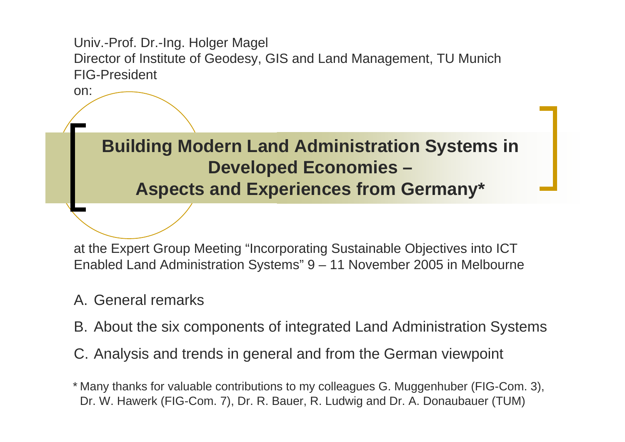Univ.-Prof. Dr.-Ing. Holger Magel Director of Institute of Geodesy, GIS and Land Management, TU Munich FIG-President

**Building Modern Land Administration Systems in Developed Economies – Aspects and Experiences from Germany\***

at the Expert Group Meeting "Incorporating Sustainable Objectives into ICT Enabled Land Administration Systems" 9 – 11 November 2005 in Melbourne

### A. General remarks

on:

- B. About the six components of integrated Land Administration Systems
- C. Analysis and trends in general and from the German viewpoint

\* Many thanks for valuable contributions to my colleagues G. Muggenhuber (FIG-Com. 3), Dr. W. Hawerk (FIG-Com. 7), Dr. R. Bauer, R. Ludwig and Dr. A. Donaubauer (TUM)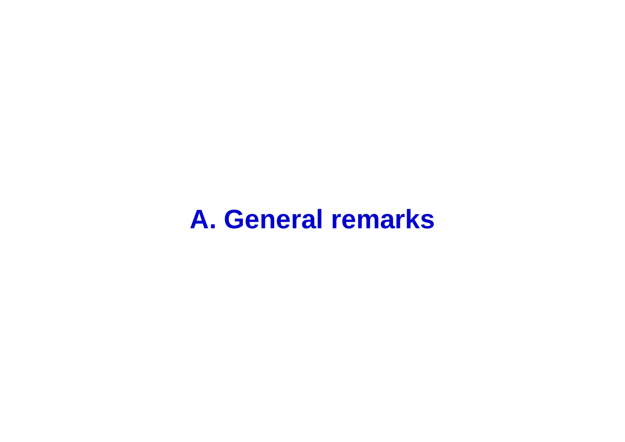# **A. General remarks**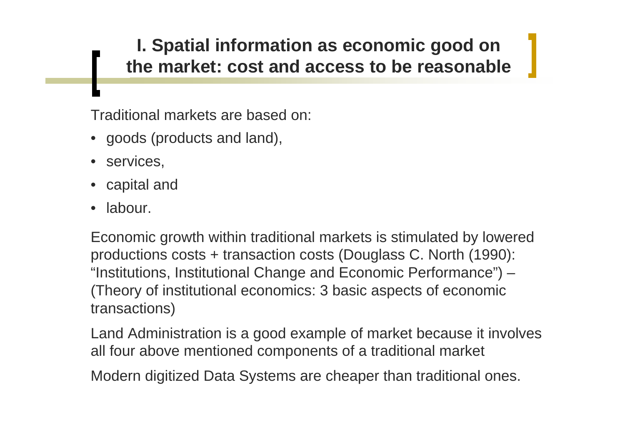### **I. Spatial information as economic good on the market: cost and access to be reasonable**

Traditional markets are based on:

- goods (products and land),
- services,
- capital and
- •labour.

Economic growth within traditional markets is stimulated by lowered productions costs + transaction costs (Douglass C. North (1990): "Institutions, Institutional Change and Economic Performance") – (Theory of institutional economics: 3 basic aspects of economic transactions)

Land Administration is a good example of market because it involves all four above mentioned components of a traditional market

Modern digitized Data Systems are cheaper than traditional ones.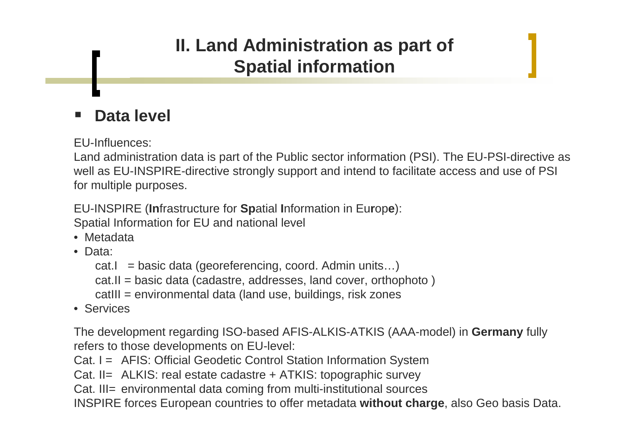#### **Data level**

EU-Influences:

Land administration data is part of the Public sector information (PSI). The EU-PSI-directive as well as EU-INSPIRE-directive strongly support and intend to facilitate access and use of PSI for multiple purposes.

EU-INSPIRE (**In**frastructure for **Sp**atial **I**nformation in Eu**r**op**<sup>e</sup>**): Spatial Information for EU and national level

- Metadata
- Data:
	- cat.I = basic data (georeferencing, coord. Admin units...)
	- cat.II = basic data (cadastre, addresses, land cover, orthophoto )
	- catIII = environmental data (land use, buildings, risk zones
- Services

The development regarding ISO-based AFIS-ALKIS-ATKIS (AAA-model) in **Germany** fully refers to those developments on EU-level:

Cat. I = AFIS: Official Geodetic Control Station Information System

Cat. II= ALKIS: real estate cadastre + ATKIS: topographic survey

Cat. III= environmental data coming from multi-institutional sources

INSPIRE forces European countries to offer metadata **without charge**, also Geo basis Data.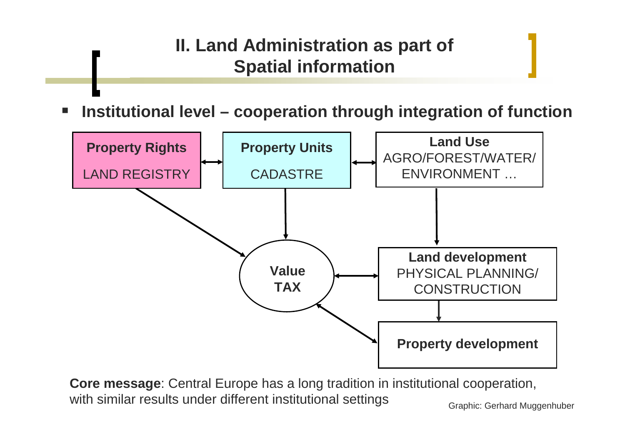**Institutional level – cooperation through integration of function**



**Core message**: Central Europe has a long tradition in institutional cooperation, with similar results under different institutional settings Graphic: Gerhard Muggenhuber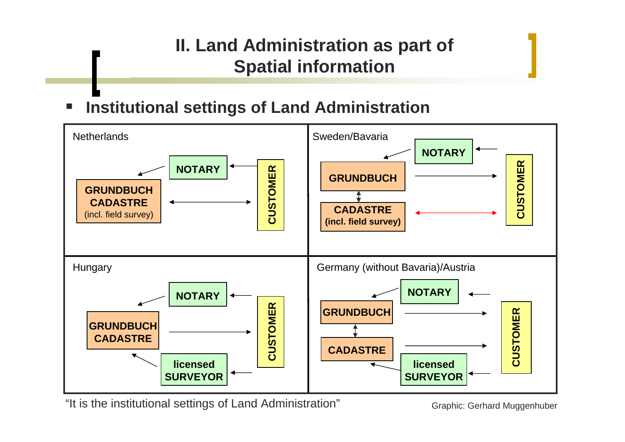#### **Institutional settings of Land Administration**



"It is the institutional settings of Land Administration" Graphic: Gerhard Muggenhuber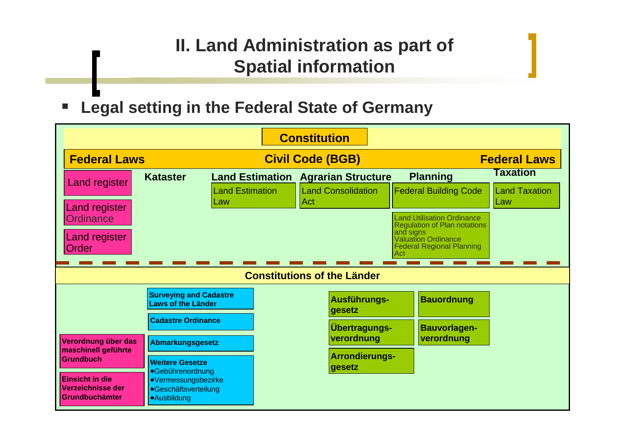### **Legal setting in the Federal State of Germany**

| <b>Constitution</b>                |                                                                                                                 |                                                                                                                       |                               |                                                                                |                                                                                                                                                                                                                   |                                                |
|------------------------------------|-----------------------------------------------------------------------------------------------------------------|-----------------------------------------------------------------------------------------------------------------------|-------------------------------|--------------------------------------------------------------------------------|-------------------------------------------------------------------------------------------------------------------------------------------------------------------------------------------------------------------|------------------------------------------------|
|                                    | <b>Federal Laws</b>                                                                                             |                                                                                                                       | <b>Civil Code (BGB)</b>       |                                                                                | <b>Federal Laws</b>                                                                                                                                                                                               |                                                |
|                                    | <b>Land register</b><br><b>Land register</b><br><b>Ordinance</b><br><b>Land register</b><br>Order               | <b>Kataster</b>                                                                                                       | <b>Land Estimation</b><br>Law | <b>Land Estimation Agrarian Structure</b><br><b>Land Consolidation</b><br> Act | <b>Planning</b><br><b>Federal Building Code</b><br><b>Land Utilisation Ordinance</b><br><b>Regulation of Plan notations</b><br>and signs<br><b>Valuation Ordinance</b><br><b>Federal Regional Planning</b><br>Act | <b>Taxation</b><br><b>Land Taxation</b><br>Law |
| <b>Constitutions of the Länder</b> |                                                                                                                 |                                                                                                                       |                               |                                                                                |                                                                                                                                                                                                                   |                                                |
|                                    | <b>Surveying and Cadastre</b><br><b>Laws of the Länder</b>                                                      |                                                                                                                       |                               | Ausführungs-<br>gesetz                                                         | <b>Bauordnung</b>                                                                                                                                                                                                 |                                                |
|                                    | Verordnung über das                                                                                             | <b>Cadastre Ordinance</b><br>Abmarkungsgesetz                                                                         |                               | <b>Übertragungs-</b><br>verordnung                                             | <b>Bauvorlagen-</b><br>verordnung                                                                                                                                                                                 |                                                |
|                                    | maschinell geführte<br><b>Grundbuch</b><br><b>Einsicht in die</b><br><b>Verzeichnisse der</b><br>Grundbuchämter | <b>Weitere Gesetze</b><br>·Gebührenordnung<br>●Vermessungsbezirke<br><b>•Geschäftsverteilung</b><br><b>Ausbildung</b> |                               | <b>Arrondierungs-</b><br>gesetz                                                |                                                                                                                                                                                                                   |                                                |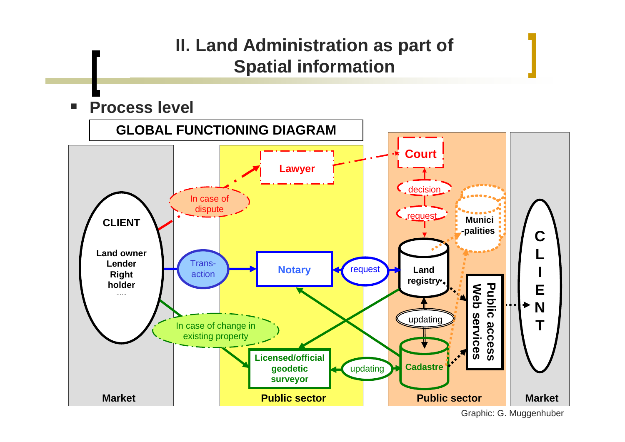$\Box$ **Process level**



Graphic: G. Muggenhuber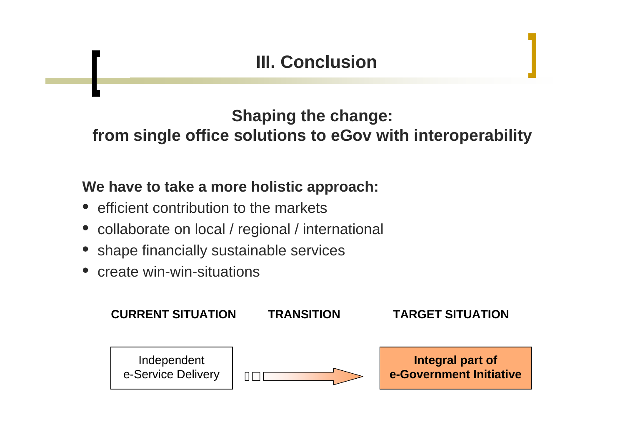### **III. Conclusion**

### **Shaping the change: from single office solutions to eGov with interoperability**

#### **We have to take a more holistic approach:**

- efficient contribution to the markets
- collaborate on local / regional / international
- •shape financially sustainable services
- $\bullet$ create win-win-situations

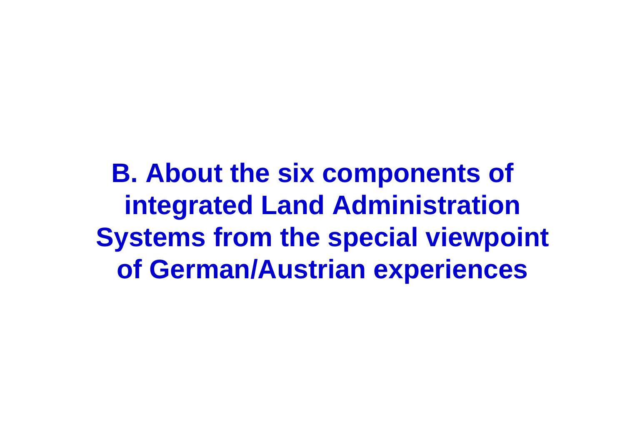**B. About the six components of integrated Land Administration Systems from the special viewpoint of German/Austrian experiences**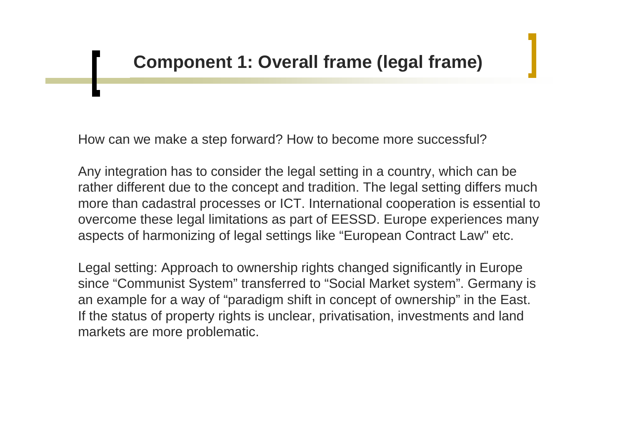How can we make a step forward? How to become more successful?

Any integration has to consider the legal setting in a country, which can be rather different due to the concept and tradition. The legal setting differs much more than cadastral processes or ICT. International cooperation is essential to overcome these legal limitations as part of EESSD. Europe experiences many aspects of harmonizing of legal settings like "European Contract Law" etc.

Legal setting: Approach to ownership rights changed significantly in Europe since "Communist System" transferred to "Social Market system". Germany is an example for a way of "paradigm shift in concept of ownership" in the East. If the status of property rights is unclear, privatisation, investments and land markets are more problematic.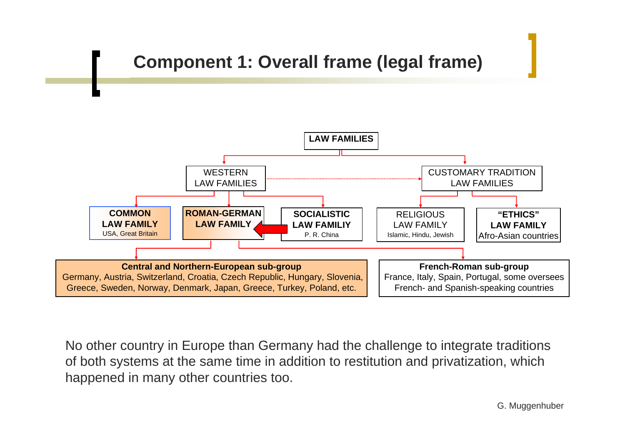### **Component 1: Overall frame (legal frame)**



No other country in Europe than Germany had the challenge to integrate traditions of both systems at the same time in addition to restitution and privatization, which happened in many other countries too.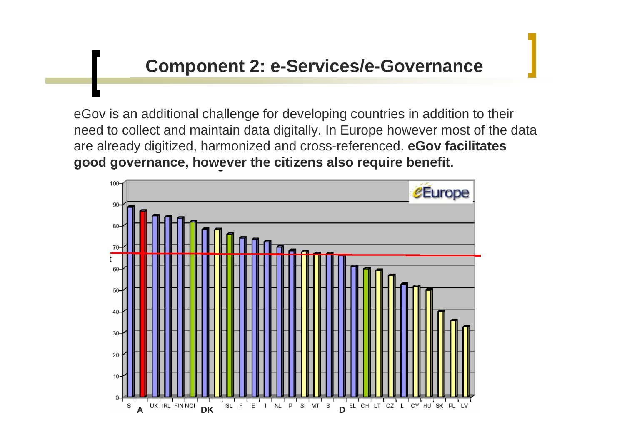eGov is an additional challenge for developing countries in addition to their need to collect and maintain data digitally. In Europe however most of the data are already digitized, harmonized and cross-referenced. **eGov facilitates good governance, however the citizens also require benefit.**

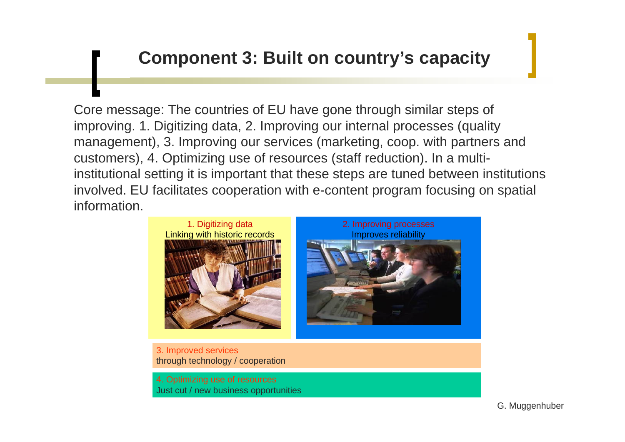### **Component 3: Built on country's capacity**

Core message: The countries of EU have gone through similar steps of improving. 1. Digitizing data, 2. Improving our internal processes (quality management), 3. Improving our services (marketing, coop. with partners and customers), 4. Optimizing use of resources (staff reduction). In a multiinstitutional setting it is important that these steps are tuned between institutions involved. EU facilitates cooperation with e-content program focusing on spatial information.





3. Improved services through technology / cooperation

4. Optimizing use of resources Just cut / new business opportunities

G. Muggenhuber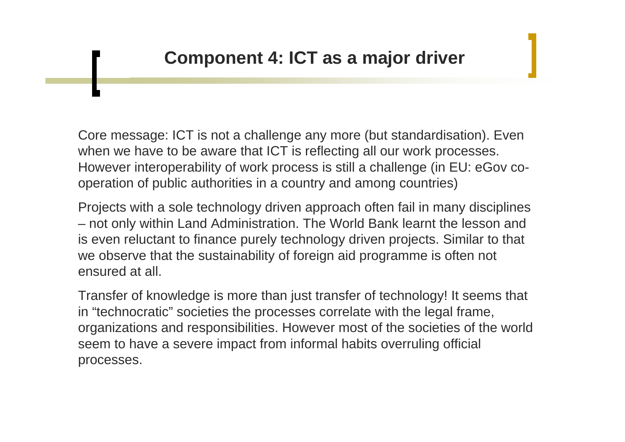Core message: ICT is not a challenge any more (but standardisation). Even when we have to be aware that ICT is reflecting all our work processes. However interoperability of work process is still a challenge (in EU: eGov cooperation of public authorities in a country and among countries)

Projects with a sole technology driven approach often fail in many disciplines – not only within Land Administration. The World Bank learnt the lesson and is even reluctant to finance purely technology driven projects. Similar to that we observe that the sustainability of foreign aid programme is often not ensured at all.

Transfer of knowledge is more than just transfer of technology! It seems that in "technocratic" societies the processes correlate with the legal frame, organizations and responsibilities. However most of the societies of the world seem to have a severe impact from informal habits overruling official processes.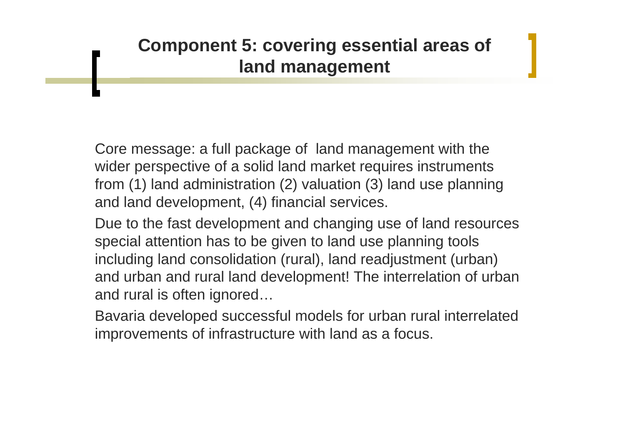### **Component 5: covering essential areas of land management**

Core message: a full package of land management with the wider perspective of a solid land market requires instruments from (1) land administration (2) valuation (3) land use planning and land development, (4) financial services.

Due to the fast development and changing use of land resources special attention has to be given to land use planning tools including land consolidation (rural), land readjustment (urban) and urban and rural land development! The interrelation of urban and rural is often ignored…

Bavaria developed successful models for urban rural interrelated improvements of infrastructure with land as a focus.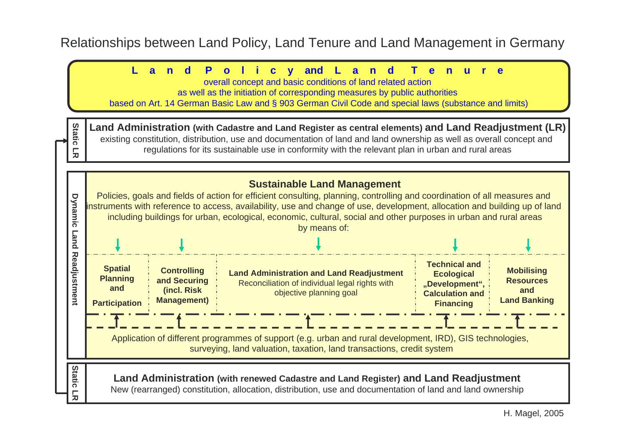#### Relationships between Land Policy, Land Tenure and Land Management in Germany

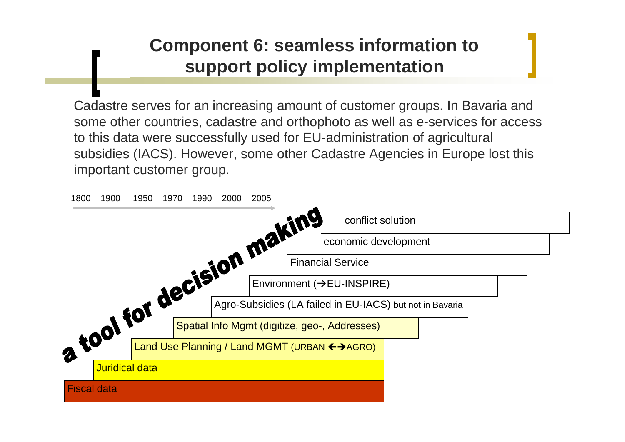### **Component 6: seamless information to support policy implementation**

Cadastre serves for an increasing amount of customer groups. In Bavaria and some other countries, cadastre and orthophoto as well as e-services for access to this data were successfully used for EU-administration of agricultural subsidies (IACS). However, some other Cadastre Agencies in Europe lost this important customer group.

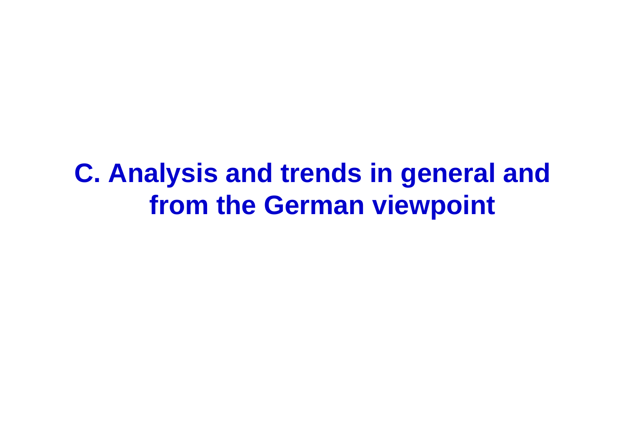# **C. Analysis and trends in general and from the German viewpoint**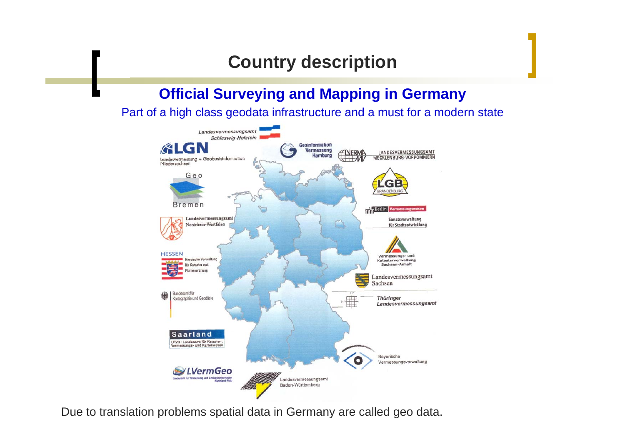### **Country description**

#### **Official Surveying and Mapping in Germany**

Part of a high class geodata infrastructure and a must for a modern state



Due to translation problems spatial data in Germany are called geo data.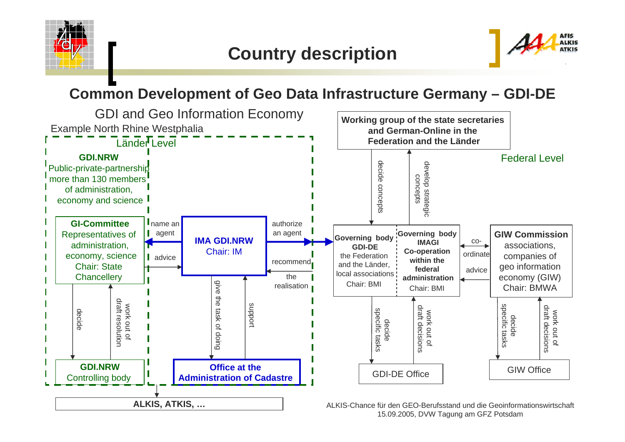



### **Common Development of Geo Data Infrastructure Germany – GDI-DE**



15.09.2005, DVW Tagung am GFZ Potsdam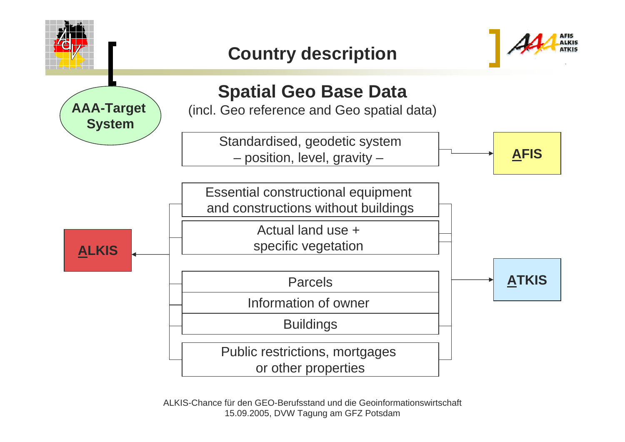

ALKIS-Chance für den GEO-Berufsstand und die Geoinformationswirtschaft 15.09.2005, DVW Tagung am GFZ Potsdam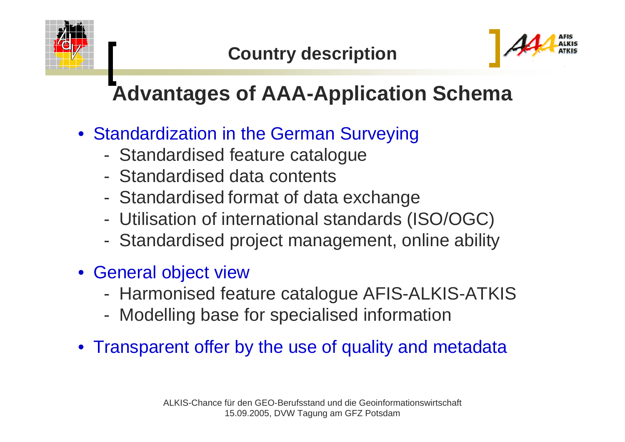



# **Advantages of AAA-Application Schema**

- Standardization in the German Surveying
	- -Standardised feature catalogue
	- Standardised data contents
	- -Standardised format of data exchange
	- -Utilisation of international standards (ISO/OGC)
	- -Standardised project management, online ability
- General object view
	- -Harmonised feature catalogue AFIS-ALKIS-ATKIS
	- -Modelling base for specialised information
- Transparent offer by the use of quality and metadata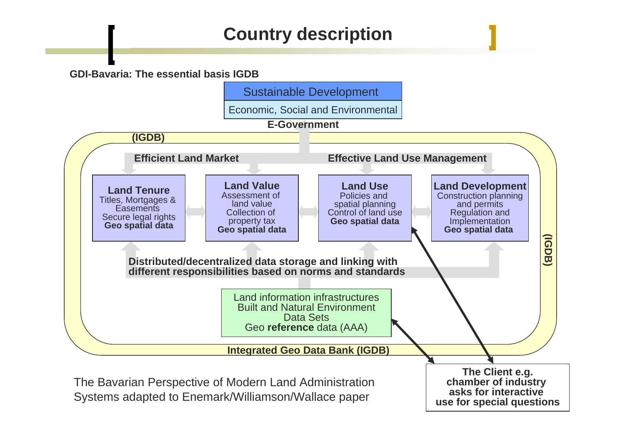### **Country description**

#### **GDI-Bavaria: The essential basis IGDB**

Sustainable Development

Economic, Social and Environmental

**E-Government**

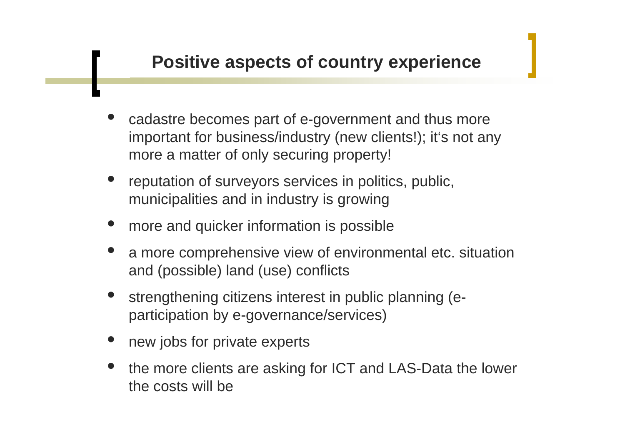- $\bullet$  cadastre becomes part of e-government and thus more important for business/industry (new clients!); it's not any more a matter of only securing property!
- $\bullet$  reputation of surveyors services in politics, public, municipalities and in industry is growing
- $\bullet$ more and quicker information is possible
- $\bullet$  a more comprehensive view of environmental etc. situation and (possible) land (use) conflicts
- $\bullet$  strengthening citizens interest in public planning (eparticipation by e-governance/services)
- $\bullet$ new jobs for private experts
- $\bullet$  the more clients are asking for ICT and LAS-Data the lower the costs will be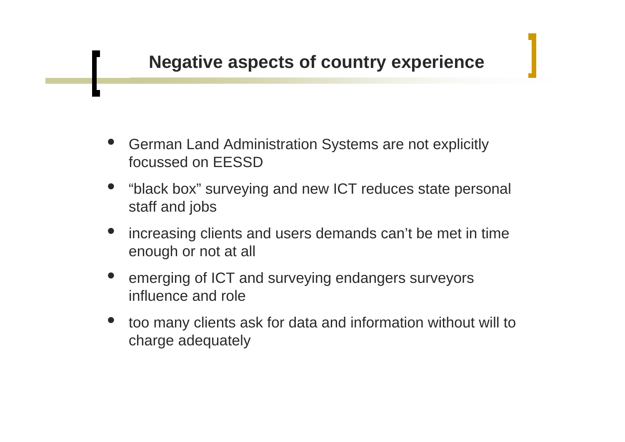- $\bullet$  German Land Administration Systems are not explicitly focussed on EESSD
- $\bullet$  "black box" surveying and new ICT reduces state personal staff and jobs
- $\bullet$  increasing clients and users demands can't be met in time enough or not at all
- $\bullet$  emerging of ICT and surveying endangers surveyors influence and role
- $\bullet$  too many clients ask for data and information without will to charge adequately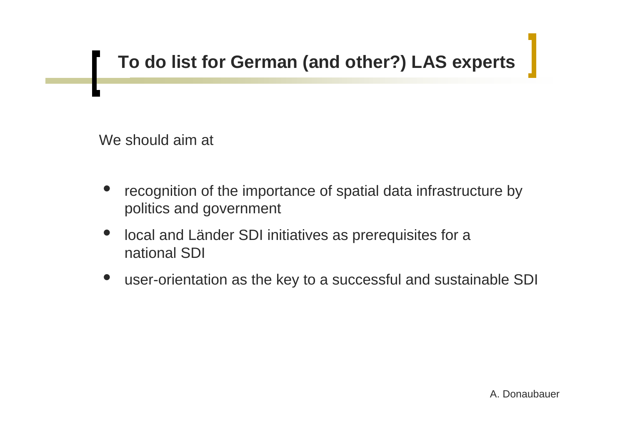## **To do list for German (and other?) LAS experts**

We should aim at

- $\bullet$  recognition of the importance of spatial data infrastructure by politics and government
- $\bullet$  local and Länder SDI initiatives as prerequisites for a national SDI
- $\bullet$ user-orientation as the key to a successful and sustainable SDI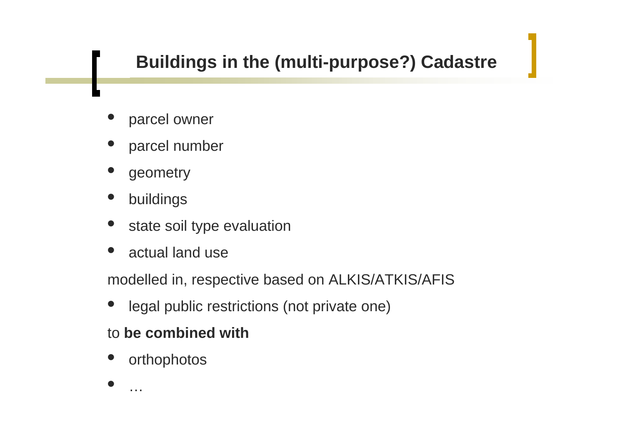## **Buildings in the (multi-purpose?) Cadastre**

- $\bullet$ parcel owner
- $\bullet$ parcel number
- $\bullet$ geometry
- $\bullet$ buildings
- $\bullet$ state soil type evaluation
- $\bullet$ • actual land use

modelled in, respective based on ALKIS/ATKIS/AFIS

 $\bullet$ legal public restrictions (not private one)

### to **be combined with**

- $\bullet$ orthophotos
- $\bullet$

…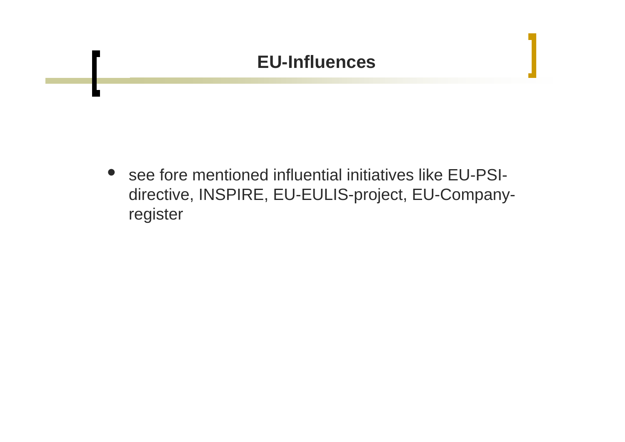### **EU-Influences**

• see fore mentioned influential initiatives like EU-PSIdirective, INSPIRE, EU-EULIS-project, EU-Companyregister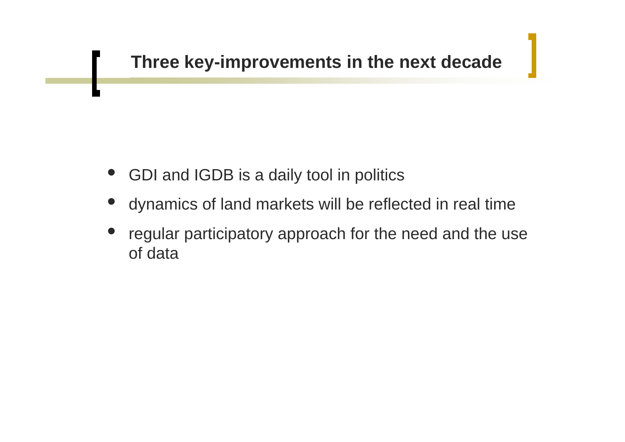- $\bullet$ GDI and IGDB is a daily tool in politics
- $\bullet$ dynamics of land markets will be reflected in real time
- $\bullet$  regular participatory approach for the need and the use of data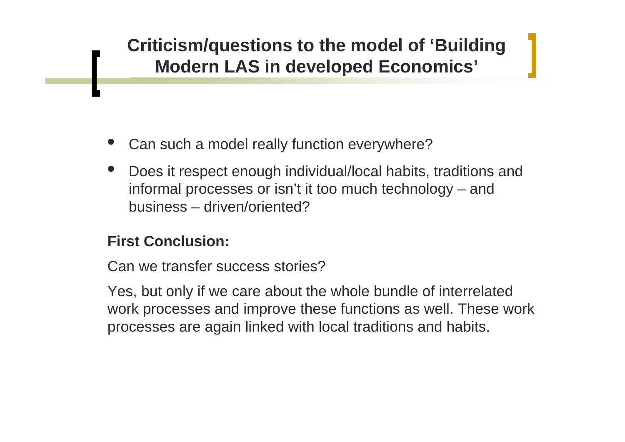- $\bullet$ Can such a model really function everywhere?
- $\bullet$  Does it respect enough individual/local habits, traditions and informal processes or isn't it too much technology – and business – driven/oriented?

### **First Conclusion:**

Can we transfer success stories?

Yes, but only if we care about the whole bundle of interrelated work processes and improve these functions as well. These work processes are again linked with local traditions and habits.